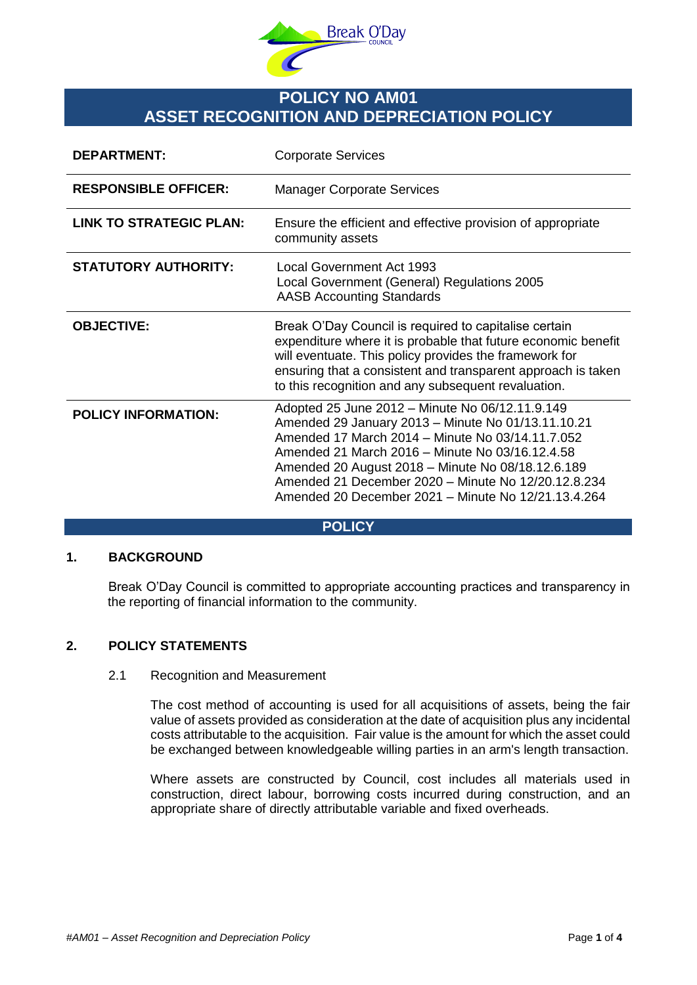

# **POLICY NO AM01 ASSET RECOGNITION AND DEPRECIATION POLICY**

| <b>DEPARTMENT:</b>             | <b>Corporate Services</b>                                                                                                                                                                                                                                                                                                                                                       |
|--------------------------------|---------------------------------------------------------------------------------------------------------------------------------------------------------------------------------------------------------------------------------------------------------------------------------------------------------------------------------------------------------------------------------|
| <b>RESPONSIBLE OFFICER:</b>    | <b>Manager Corporate Services</b>                                                                                                                                                                                                                                                                                                                                               |
| <b>LINK TO STRATEGIC PLAN:</b> | Ensure the efficient and effective provision of appropriate<br>community assets                                                                                                                                                                                                                                                                                                 |
| <b>STATUTORY AUTHORITY:</b>    | Local Government Act 1993<br>Local Government (General) Regulations 2005<br><b>AASB Accounting Standards</b>                                                                                                                                                                                                                                                                    |
| <b>OBJECTIVE:</b>              | Break O'Day Council is required to capitalise certain<br>expenditure where it is probable that future economic benefit<br>will eventuate. This policy provides the framework for<br>ensuring that a consistent and transparent approach is taken<br>to this recognition and any subsequent revaluation.                                                                         |
| <b>POLICY INFORMATION:</b>     | Adopted 25 June 2012 - Minute No 06/12.11.9.149<br>Amended 29 January 2013 - Minute No 01/13.11.10.21<br>Amended 17 March 2014 - Minute No 03/14.11.7.052<br>Amended 21 March 2016 – Minute No 03/16.12.4.58<br>Amended 20 August 2018 - Minute No 08/18.12.6.189<br>Amended 21 December 2020 - Minute No 12/20.12.8.234<br>Amended 20 December 2021 – Minute No 12/21.13.4.264 |

#### **POLICY**

### **1. BACKGROUND**

Break O'Day Council is committed to appropriate accounting practices and transparency in the reporting of financial information to the community.

# **2. POLICY STATEMENTS**

## 2.1 Recognition and Measurement

The cost method of accounting is used for all acquisitions of assets, being the fair value of assets provided as consideration at the date of acquisition plus any incidental costs attributable to the acquisition. Fair value is the amount for which the asset could be exchanged between knowledgeable willing parties in an arm's length transaction.

Where assets are constructed by Council, cost includes all materials used in construction, direct labour, borrowing costs incurred during construction, and an appropriate share of directly attributable variable and fixed overheads.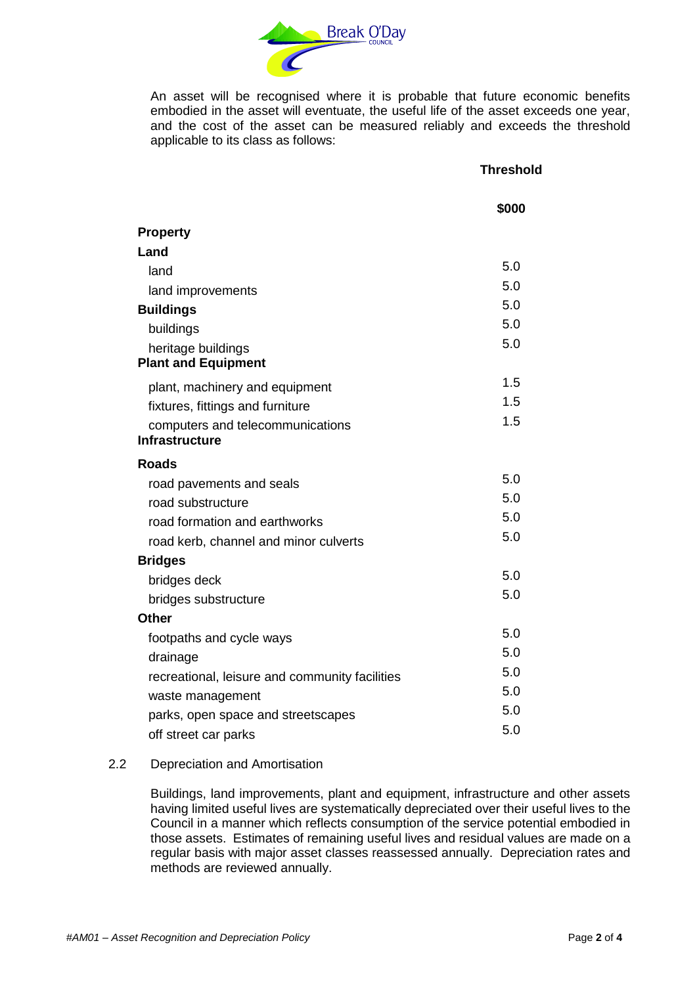

An asset will be recognised where it is probable that future economic benefits embodied in the asset will eventuate, the useful life of the asset exceeds one year, and the cost of the asset can be measured reliably and exceeds the threshold applicable to its class as follows:

## **Threshold**

|                                                | \$000 |
|------------------------------------------------|-------|
| <b>Property</b>                                |       |
| Land                                           |       |
| land                                           | 5.0   |
| land improvements                              | 5.0   |
| <b>Buildings</b>                               | 5.0   |
| buildings                                      | 5.0   |
| heritage buildings                             | 5.0   |
| <b>Plant and Equipment</b>                     |       |
| plant, machinery and equipment                 | 1.5   |
| fixtures, fittings and furniture               | 1.5   |
| computers and telecommunications               | 1.5   |
| <b>Infrastructure</b>                          |       |
| <b>Roads</b>                                   |       |
| road pavements and seals                       | 5.0   |
| road substructure                              | 5.0   |
| road formation and earthworks                  | 5.0   |
| road kerb, channel and minor culverts          | 5.0   |
| <b>Bridges</b>                                 |       |
| bridges deck                                   | 5.0   |
| bridges substructure                           | 5.0   |
| <b>Other</b>                                   |       |
| footpaths and cycle ways                       | 5.0   |
| drainage                                       | 5.0   |
| recreational, leisure and community facilities | 5.0   |
| waste management                               | 5.0   |
| parks, open space and streetscapes             | 5.0   |
| off street car parks                           | 5.0   |

# 2.2 Depreciation and Amortisation

Buildings, land improvements, plant and equipment, infrastructure and other assets having limited useful lives are systematically depreciated over their useful lives to the Council in a manner which reflects consumption of the service potential embodied in those assets. Estimates of remaining useful lives and residual values are made on a regular basis with major asset classes reassessed annually. Depreciation rates and methods are reviewed annually.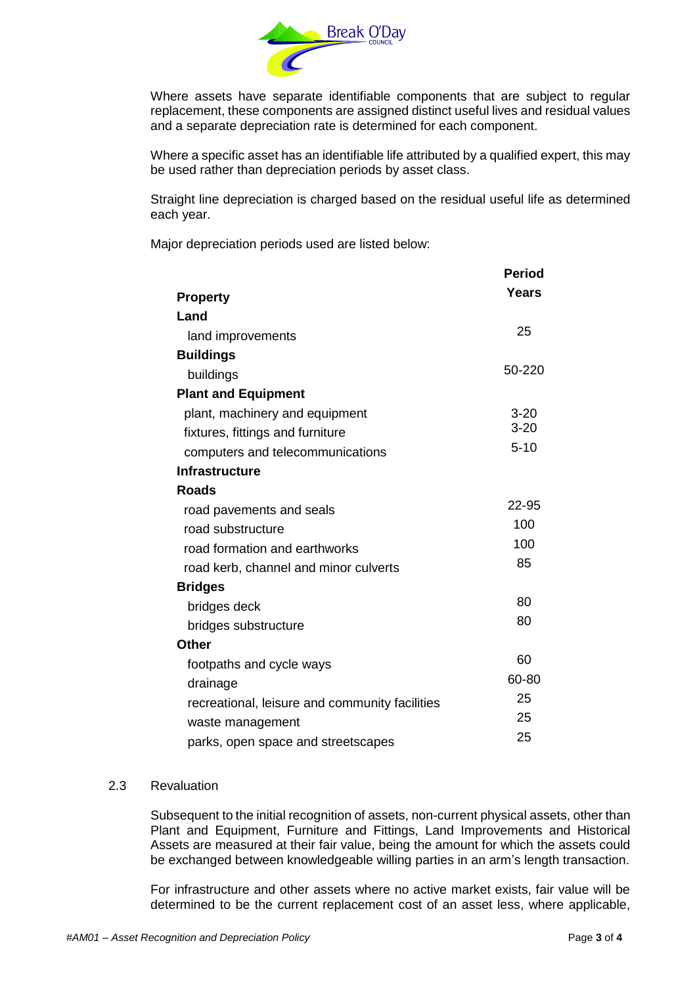

Where assets have separate identifiable components that are subject to regular replacement, these components are assigned distinct useful lives and residual values and a separate depreciation rate is determined for each component.

Where a specific asset has an identifiable life attributed by a qualified expert, this may be used rather than depreciation periods by asset class.

Straight line depreciation is charged based on the residual useful life as determined each year.

Major depreciation periods used are listed below:

|                                                | <b>Period</b> |
|------------------------------------------------|---------------|
| <b>Property</b>                                | <b>Years</b>  |
| Land                                           |               |
| land improvements                              | 25            |
| <b>Buildings</b>                               |               |
| buildings                                      | 50-220        |
| <b>Plant and Equipment</b>                     |               |
| plant, machinery and equipment                 | $3 - 20$      |
| fixtures, fittings and furniture               | $3 - 20$      |
| computers and telecommunications               | $5 - 10$      |
| <b>Infrastructure</b>                          |               |
| <b>Roads</b>                                   |               |
| road pavements and seals                       | 22-95         |
| road substructure                              | 100           |
| road formation and earthworks                  | 100           |
| road kerb, channel and minor culverts          | 85            |
| <b>Bridges</b>                                 |               |
| bridges deck                                   | 80            |
| bridges substructure                           | 80            |
| <b>Other</b>                                   |               |
| footpaths and cycle ways                       | 60            |
| drainage                                       | 60-80         |
| recreational, leisure and community facilities | 25            |
| waste management                               | 25            |
| parks, open space and streetscapes             | 25            |

#### 2.3 Revaluation

Subsequent to the initial recognition of assets, non-current physical assets, other than Plant and Equipment, Furniture and Fittings, Land Improvements and Historical Assets are measured at their fair value, being the amount for which the assets could be exchanged between knowledgeable willing parties in an arm's length transaction.

For infrastructure and other assets where no active market exists, fair value will be determined to be the current replacement cost of an asset less, where applicable,